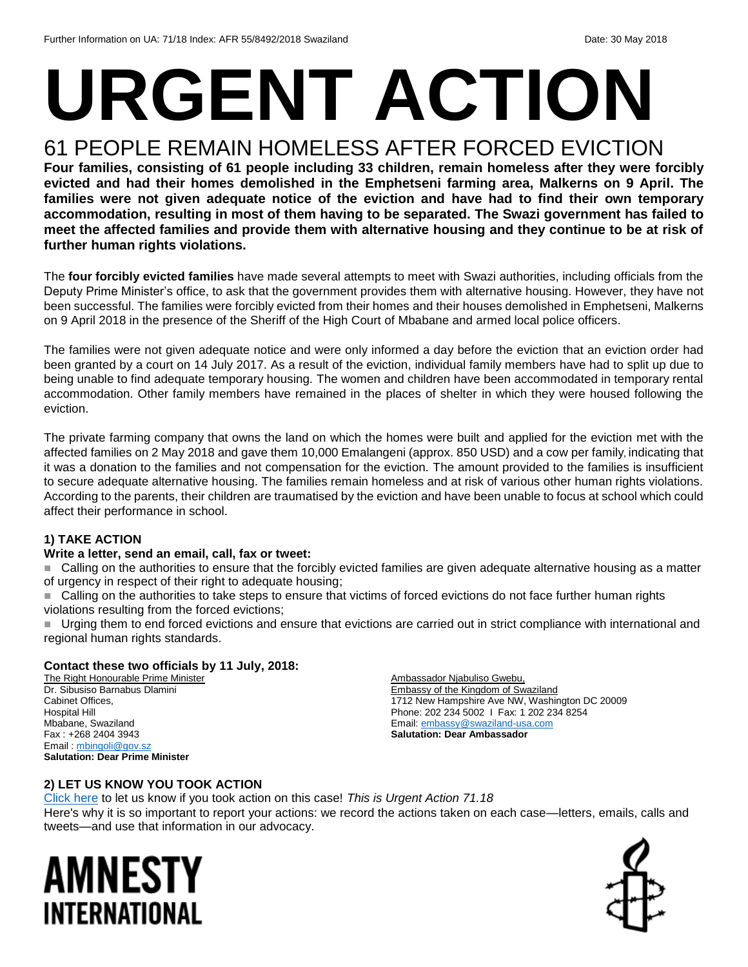# **URGENT ACTION**

## 61 PEOPLE REMAIN HOMELESS AFTER FORCED EVICTION

**Four families, consisting of 61 people including 33 children, remain homeless after they were forcibly evicted and had their homes demolished in the Emphetseni farming area, Malkerns on 9 April. The families were not given adequate notice of the eviction and have had to find their own temporary accommodation, resulting in most of them having to be separated. The Swazi government has failed to meet the affected families and provide them with alternative housing and they continue to be at risk of further human rights violations.**

The **four forcibly evicted families** have made several attempts to meet with Swazi authorities, including officials from the Deputy Prime Minister's office, to ask that the government provides them with alternative housing. However, they have not been successful. The families were forcibly evicted from their homes and their houses demolished in Emphetseni, Malkerns on 9 April 2018 in the presence of the Sheriff of the High Court of Mbabane and armed local police officers.

The families were not given adequate notice and were only informed a day before the eviction that an eviction order had been granted by a court on 14 July 2017. As a result of the eviction, individual family members have had to split up due to being unable to find adequate temporary housing. The women and children have been accommodated in temporary rental accommodation. Other family members have remained in the places of shelter in which they were housed following the eviction.

The private farming company that owns the land on which the homes were built and applied for the eviction met with the affected families on 2 May 2018 and gave them 10,000 Emalangeni (approx. 850 USD) and a cow per family, indicating that it was a donation to the families and not compensation for the eviction. The amount provided to the families is insufficient to secure adequate alternative housing. The families remain homeless and at risk of various other human rights violations. According to the parents, their children are traumatised by the eviction and have been unable to focus at school which could affect their performance in school.

#### **1) TAKE ACTION**

#### **Write a letter, send an email, call, fax or tweet:**

■ Calling on the authorities to ensure that the forcibly evicted families are given adequate alternative housing as a matter of urgency in respect of their right to adequate housing;

 Calling on the authorities to take steps to ensure that victims of forced evictions do not face further human rights violations resulting from the forced evictions;

Urging them to end forced evictions and ensure that evictions are carried out in strict compliance with international and regional human rights standards.

#### **Contact these two officials by 11 July, 2018:**

The Right Honourable Prime Minister Dr. Sibusiso Barnabus Dlamini Cabinet Offices, Hospital Hill Mbabane, Swaziland Fax : +268 2404 3943 Email : [mbingoli@gov.sz](mailto:mbingoli@gov.sz) **Salutation: Dear Prime Minister**

Ambassador Njabuliso Gwebu, Embassy of the Kingdom of Swaziland 1712 New Hampshire Ave NW, Washington DC 20009 Phone: 202 234 5002 I Fax: 1 202 234 8254 Email[: embassy@swaziland-usa.com](mailto:embassy@swaziland-usa.com) **Salutation: Dear Ambassador**

#### **2) LET US KNOW YOU TOOK ACTION**

[Click here](https://www.amnestyusa.org/report-urgent-actions/) to let us know if you took action on this case! *This is Urgent Action 71.18* Here's why it is so important to report your actions: we record the actions taken on each case—letters, emails, calls and tweets—and use that information in our advocacy.

## AMNESTY INTERNATIONAL